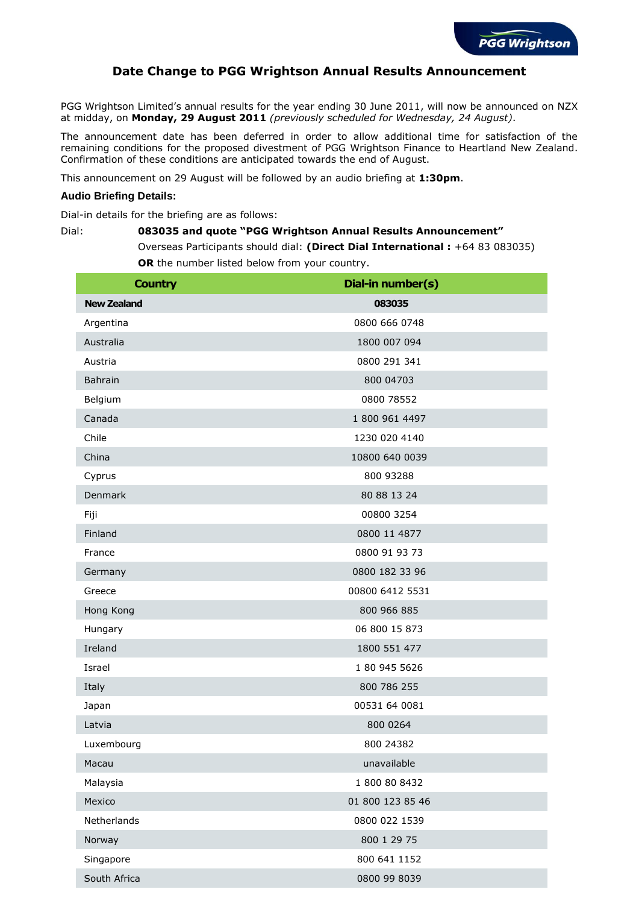

## **Date Change to PGG Wrightson Annual Results Announcement**

PGG Wrightson Limited's annual results for the year ending 30 June 2011, will now be announced on NZX at midday, on **Monday, 29 August 2011** *(previously scheduled for Wednesday, 24 August)*.

The announcement date has been deferred in order to allow additional time for satisfaction of the remaining conditions for the proposed divestment of PGG Wrightson Finance to Heartland New Zealand. Confirmation of these conditions are anticipated towards the end of August.

This announcement on 29 August will be followed by an audio briefing at **1:30pm**.

## **Audio Briefing Details:**

Dial-in details for the briefing are as follows:

## Dial: **083035 and quote "PGG Wrightson Annual Results Announcement"**  Overseas Participants should dial: **(Direct Dial International :** +64 83 083035) **OR** the number listed below from your country.

| <b>Country</b>     | Dial-in number(s) |
|--------------------|-------------------|
| <b>New Zealand</b> | 083035            |
| Argentina          | 0800 666 0748     |
| Australia          | 1800 007 094      |
| Austria            | 0800 291 341      |
| Bahrain            | 800 04703         |
| Belgium            | 0800 78552        |
| Canada             | 1 800 961 4497    |
| Chile              | 1230 020 4140     |
| China              | 10800 640 0039    |
| Cyprus             | 800 93288         |
| Denmark            | 80 88 13 24       |
| Fiji               | 00800 3254        |
| Finland            | 0800 11 4877      |
| France             | 0800 91 93 73     |
| Germany            | 0800 182 33 96    |
| Greece             | 00800 6412 5531   |
| Hong Kong          | 800 966 885       |
| Hungary            | 06 800 15 873     |
| Ireland            | 1800 551 477      |
| Israel             | 1 80 945 5626     |
| Italy              | 800 786 255       |
| Japan              | 00531 64 0081     |
| Latvia             | 800 0264          |
| Luxembourg         | 800 24382         |
| Macau              | unavailable       |
| Malaysia           | 1 800 80 8432     |
| Mexico             | 01 800 123 85 46  |
| Netherlands        | 0800 022 1539     |
| Norway             | 800 1 29 75       |
| Singapore          | 800 641 1152      |
| South Africa       | 0800 99 8039      |